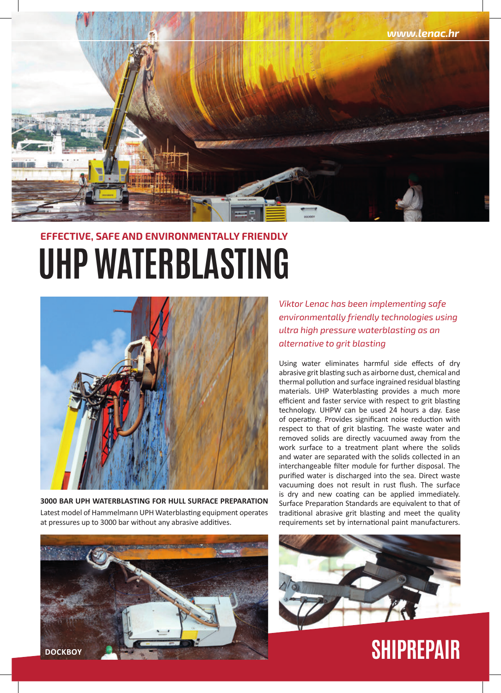

## **UHP WATERBLASTING Effective, Safe and Environmentally Friendly**



**3000 BAR UPH WATERBLASTING FOR HULL SURFACE PREPARATION** Latest model of Hammelmann UPH Waterblasting equipment operates at pressures up to 3000 bar without any abrasive additives.



*Viktor Lenac has been implementing safe environmentally friendly technologies using ultra high pressure waterblasting as an alternative to grit blasting*

Using water eliminates harmful side effects of dry abrasive grit blasting such as airborne dust, chemical and thermal pollution and surface ingrained residual blasting materials. UHP Waterblasting provides a much more efficient and faster service with respect to grit blasting technology. UHPW can be used 24 hours a day. Ease of operating. Provides significant noise reduction with respect to that of grit blasting. The waste water and removed solids are directly vacuumed away from the work surface to a treatment plant where the solids and water are separated with the solids collected in an interchangeable filter module for further disposal. The purified water is discharged into the sea. Direct waste vacuuming does not result in rust flush. The surface is dry and new coating can be applied immediately. Surface Preparation Standards are equivalent to that of traditional abrasive grit blasting and meet the quality requirements set by international paint manufacturers.



**SHIPREPAIR**